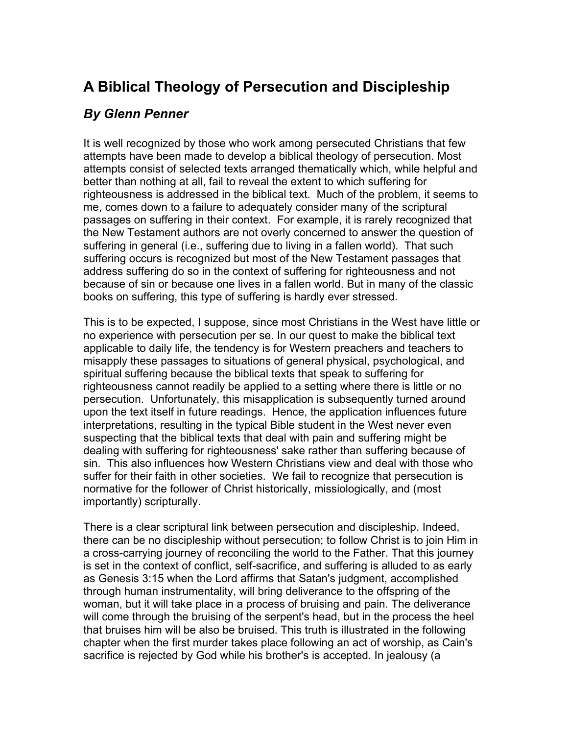## A Biblical Theology of Persecution and Discipleship

## By Glenn Penner

It is well recognized by those who work among persecuted Christians that few attempts have been made to develop a biblical theology of persecution. Most attempts consist of selected texts arranged thematically which, while helpful and better than nothing at all, fail to reveal the extent to which suffering for righteousness is addressed in the biblical text. Much of the problem, it seems to me, comes down to a failure to adequately consider many of the scriptural passages on suffering in their context. For example, it is rarely recognized that the New Testament authors are not overly concerned to answer the question of suffering in general (i.e., suffering due to living in a fallen world). That such suffering occurs is recognized but most of the New Testament passages that address suffering do so in the context of suffering for righteousness and not because of sin or because one lives in a fallen world. But in many of the classic books on suffering, this type of suffering is hardly ever stressed.

This is to be expected, I suppose, since most Christians in the West have little or no experience with persecution per se. In our quest to make the biblical text applicable to daily life, the tendency is for Western preachers and teachers to misapply these passages to situations of general physical, psychological, and spiritual suffering because the biblical texts that speak to suffering for righteousness cannot readily be applied to a setting where there is little or no persecution. Unfortunately, this misapplication is subsequently turned around upon the text itself in future readings. Hence, the application influences future interpretations, resulting in the typical Bible student in the West never even suspecting that the biblical texts that deal with pain and suffering might be dealing with suffering for righteousness' sake rather than suffering because of sin. This also influences how Western Christians view and deal with those who suffer for their faith in other societies. We fail to recognize that persecution is normative for the follower of Christ historically, missiologically, and (most importantly) scripturally.

There is a clear scriptural link between persecution and discipleship. Indeed, there can be no discipleship without persecution; to follow Christ is to join Him in a cross-carrying journey of reconciling the world to the Father. That this journey is set in the context of conflict, self-sacrifice, and suffering is alluded to as early as Genesis 3:15 when the Lord affirms that Satan's judgment, accomplished through human instrumentality, will bring deliverance to the offspring of the woman, but it will take place in a process of bruising and pain. The deliverance will come through the bruising of the serpent's head, but in the process the heel that bruises him will be also be bruised. This truth is illustrated in the following chapter when the first murder takes place following an act of worship, as Cain's sacrifice is rejected by God while his brother's is accepted. In jealousy (a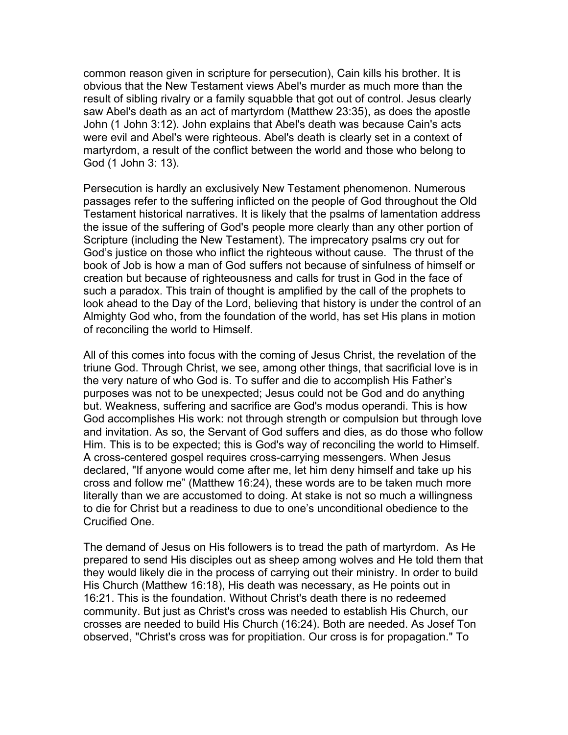common reason given in scripture for persecution), Cain kills his brother. It is obvious that the New Testament views Abel's murder as much more than the result of sibling rivalry or a family squabble that got out of control. Jesus clearly saw Abel's death as an act of martyrdom (Matthew 23:35), as does the apostle John (1 John 3:12). John explains that Abel's death was because Cain's acts were evil and Abel's were righteous. Abel's death is clearly set in a context of martyrdom, a result of the conflict between the world and those who belong to God (1 John 3: 13).

Persecution is hardly an exclusively New Testament phenomenon. Numerous passages refer to the suffering inflicted on the people of God throughout the Old Testament historical narratives. It is likely that the psalms of lamentation address the issue of the suffering of God's people more clearly than any other portion of Scripture (including the New Testament). The imprecatory psalms cry out for God's justice on those who inflict the righteous without cause. The thrust of the book of Job is how a man of God suffers not because of sinfulness of himself or creation but because of righteousness and calls for trust in God in the face of such a paradox. This train of thought is amplified by the call of the prophets to look ahead to the Day of the Lord, believing that history is under the control of an Almighty God who, from the foundation of the world, has set His plans in motion of reconciling the world to Himself.

All of this comes into focus with the coming of Jesus Christ, the revelation of the triune God. Through Christ, we see, among other things, that sacrificial love is in the very nature of who God is. To suffer and die to accomplish His Father's purposes was not to be unexpected; Jesus could not be God and do anything but. Weakness, suffering and sacrifice are God's modus operandi. This is how God accomplishes His work: not through strength or compulsion but through love and invitation. As so, the Servant of God suffers and dies, as do those who follow Him. This is to be expected; this is God's way of reconciling the world to Himself. A cross-centered gospel requires cross-carrying messengers. When Jesus declared, "If anyone would come after me, let him deny himself and take up his cross and follow me" (Matthew 16:24), these words are to be taken much more literally than we are accustomed to doing. At stake is not so much a willingness to die for Christ but a readiness to due to one's unconditional obedience to the Crucified One.

The demand of Jesus on His followers is to tread the path of martyrdom. As He prepared to send His disciples out as sheep among wolves and He told them that they would likely die in the process of carrying out their ministry. In order to build His Church (Matthew 16:18), His death was necessary, as He points out in 16:21. This is the foundation. Without Christ's death there is no redeemed community. But just as Christ's cross was needed to establish His Church, our crosses are needed to build His Church (16:24). Both are needed. As Josef Ton observed, "Christ's cross was for propitiation. Our cross is for propagation." To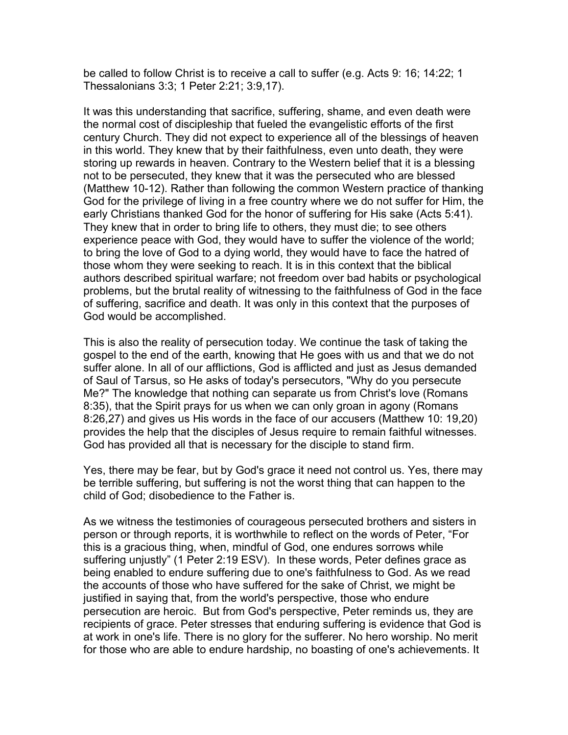be called to follow Christ is to receive a call to suffer (e.g. Acts 9: 16; 14:22; 1 Thessalonians 3:3; 1 Peter 2:21; 3:9,17).

It was this understanding that sacrifice, suffering, shame, and even death were the normal cost of discipleship that fueled the evangelistic efforts of the first century Church. They did not expect to experience all of the blessings of heaven in this world. They knew that by their faithfulness, even unto death, they were storing up rewards in heaven. Contrary to the Western belief that it is a blessing not to be persecuted, they knew that it was the persecuted who are blessed (Matthew 10-12). Rather than following the common Western practice of thanking God for the privilege of living in a free country where we do not suffer for Him, the early Christians thanked God for the honor of suffering for His sake (Acts 5:41). They knew that in order to bring life to others, they must die; to see others experience peace with God, they would have to suffer the violence of the world; to bring the love of God to a dying world, they would have to face the hatred of those whom they were seeking to reach. It is in this context that the biblical authors described spiritual warfare; not freedom over bad habits or psychological problems, but the brutal reality of witnessing to the faithfulness of God in the face of suffering, sacrifice and death. It was only in this context that the purposes of God would be accomplished.

This is also the reality of persecution today. We continue the task of taking the gospel to the end of the earth, knowing that He goes with us and that we do not suffer alone. In all of our afflictions, God is afflicted and just as Jesus demanded of Saul of Tarsus, so He asks of today's persecutors, "Why do you persecute Me?" The knowledge that nothing can separate us from Christ's love (Romans 8:35), that the Spirit prays for us when we can only groan in agony (Romans 8:26,27) and gives us His words in the face of our accusers (Matthew 10: 19,20) provides the help that the disciples of Jesus require to remain faithful witnesses. God has provided all that is necessary for the disciple to stand firm.

Yes, there may be fear, but by God's grace it need not control us. Yes, there may be terrible suffering, but suffering is not the worst thing that can happen to the child of God; disobedience to the Father is.

As we witness the testimonies of courageous persecuted brothers and sisters in person or through reports, it is worthwhile to reflect on the words of Peter, "For this is a gracious thing, when, mindful of God, one endures sorrows while suffering unjustly" (1 Peter 2:19 ESV). In these words, Peter defines grace as being enabled to endure suffering due to one's faithfulness to God. As we read the accounts of those who have suffered for the sake of Christ, we might be justified in saying that, from the world's perspective, those who endure persecution are heroic. But from God's perspective, Peter reminds us, they are recipients of grace. Peter stresses that enduring suffering is evidence that God is at work in one's life. There is no glory for the sufferer. No hero worship. No merit for those who are able to endure hardship, no boasting of one's achievements. It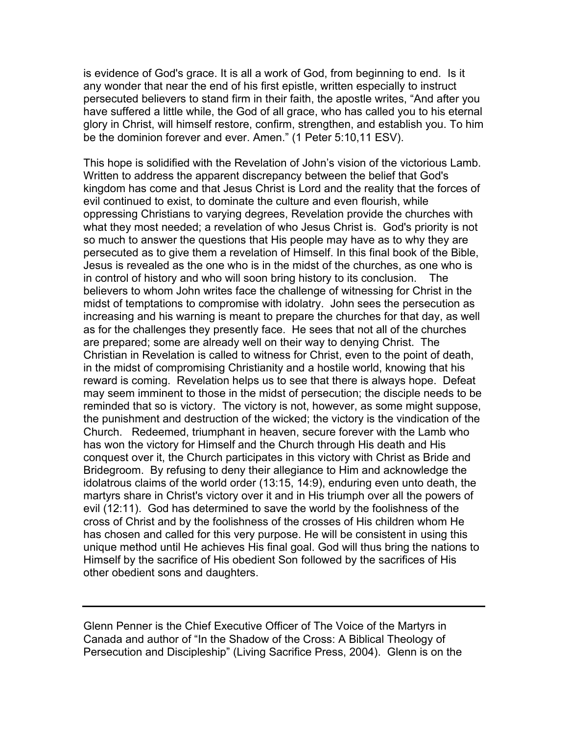is evidence of God's grace. It is all a work of God, from beginning to end. Is it any wonder that near the end of his first epistle, written especially to instruct persecuted believers to stand firm in their faith, the apostle writes, "And after you have suffered a little while, the God of all grace, who has called you to his eternal glory in Christ, will himself restore, confirm, strengthen, and establish you. To him be the dominion forever and ever. Amen." (1 Peter 5:10,11 ESV).

This hope is solidified with the Revelation of John's vision of the victorious Lamb. Written to address the apparent discrepancy between the belief that God's kingdom has come and that Jesus Christ is Lord and the reality that the forces of evil continued to exist, to dominate the culture and even flourish, while oppressing Christians to varying degrees, Revelation provide the churches with what they most needed; a revelation of who Jesus Christ is. God's priority is not so much to answer the questions that His people may have as to why they are persecuted as to give them a revelation of Himself. In this final book of the Bible, Jesus is revealed as the one who is in the midst of the churches, as one who is in control of history and who will soon bring history to its conclusion. The believers to whom John writes face the challenge of witnessing for Christ in the midst of temptations to compromise with idolatry. John sees the persecution as increasing and his warning is meant to prepare the churches for that day, as well as for the challenges they presently face. He sees that not all of the churches are prepared; some are already well on their way to denying Christ. The Christian in Revelation is called to witness for Christ, even to the point of death, in the midst of compromising Christianity and a hostile world, knowing that his reward is coming. Revelation helps us to see that there is always hope. Defeat may seem imminent to those in the midst of persecution; the disciple needs to be reminded that so is victory. The victory is not, however, as some might suppose, the punishment and destruction of the wicked; the victory is the vindication of the Church. Redeemed, triumphant in heaven, secure forever with the Lamb who has won the victory for Himself and the Church through His death and His conquest over it, the Church participates in this victory with Christ as Bride and Bridegroom. By refusing to deny their allegiance to Him and acknowledge the idolatrous claims of the world order (13:15, 14:9), enduring even unto death, the martyrs share in Christ's victory over it and in His triumph over all the powers of evil (12:11). God has determined to save the world by the foolishness of the cross of Christ and by the foolishness of the crosses of His children whom He has chosen and called for this very purpose. He will be consistent in using this unique method until He achieves His final goal. God will thus bring the nations to Himself by the sacrifice of His obedient Son followed by the sacrifices of His other obedient sons and daughters.

Glenn Penner is the Chief Executive Officer of The Voice of the Martyrs in Canada and author of "In the Shadow of the Cross: A Biblical Theology of Persecution and Discipleship" (Living Sacrifice Press, 2004). Glenn is on the